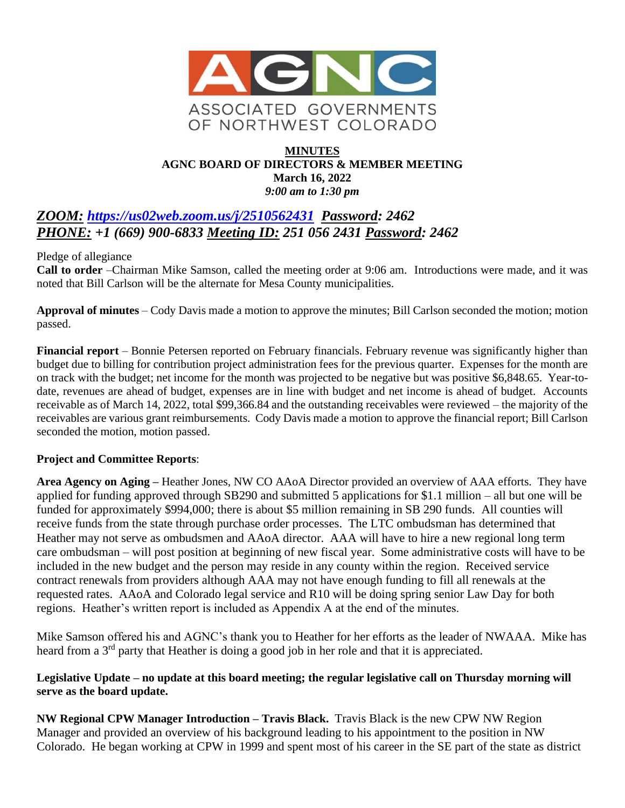

## **MINUTES AGNC BOARD OF DIRECTORS & MEMBER MEETING March 16, 2022** *9:00 am to 1:30 pm*

# *ZOOM: <https://us02web.zoom.us/j/2510562431>**Password: 2462 PHONE: +1 (669) 900-6833 Meeting ID: 251 056 2431 Password: 2462*

Pledge of allegiance

**Call to order** –Chairman Mike Samson, called the meeting order at 9:06 am. Introductions were made, and it was noted that Bill Carlson will be the alternate for Mesa County municipalities.

**Approval of minutes** – Cody Davis made a motion to approve the minutes; Bill Carlson seconded the motion; motion passed.

**Financial report** – Bonnie Petersen reported on February financials. February revenue was significantly higher than budget due to billing for contribution project administration fees for the previous quarter. Expenses for the month are on track with the budget; net income for the month was projected to be negative but was positive \$6,848.65. Year-todate, revenues are ahead of budget, expenses are in line with budget and net income is ahead of budget. Accounts receivable as of March 14, 2022, total \$99,366.84 and the outstanding receivables were reviewed – the majority of the receivables are various grant reimbursements. Cody Davis made a motion to approve the financial report; Bill Carlson seconded the motion, motion passed.

#### **Project and Committee Reports**:

**Area Agency on Aging –** Heather Jones, NW CO AAoA Director provided an overview of AAA efforts. They have applied for funding approved through SB290 and submitted 5 applications for \$1.1 million – all but one will be funded for approximately \$994,000; there is about \$5 million remaining in SB 290 funds. All counties will receive funds from the state through purchase order processes. The LTC ombudsman has determined that Heather may not serve as ombudsmen and AAoA director. AAA will have to hire a new regional long term care ombudsman – will post position at beginning of new fiscal year. Some administrative costs will have to be included in the new budget and the person may reside in any county within the region. Received service contract renewals from providers although AAA may not have enough funding to fill all renewals at the requested rates. AAoA and Colorado legal service and R10 will be doing spring senior Law Day for both regions. Heather's written report is included as Appendix A at the end of the minutes.

Mike Samson offered his and AGNC's thank you to Heather for her efforts as the leader of NWAAA. Mike has heard from a 3<sup>rd</sup> party that Heather is doing a good job in her role and that it is appreciated.

#### **Legislative Update – no update at this board meeting; the regular legislative call on Thursday morning will serve as the board update.**

**NW Regional CPW Manager Introduction – Travis Black.** Travis Black is the new CPW NW Region Manager and provided an overview of his background leading to his appointment to the position in NW Colorado. He began working at CPW in 1999 and spent most of his career in the SE part of the state as district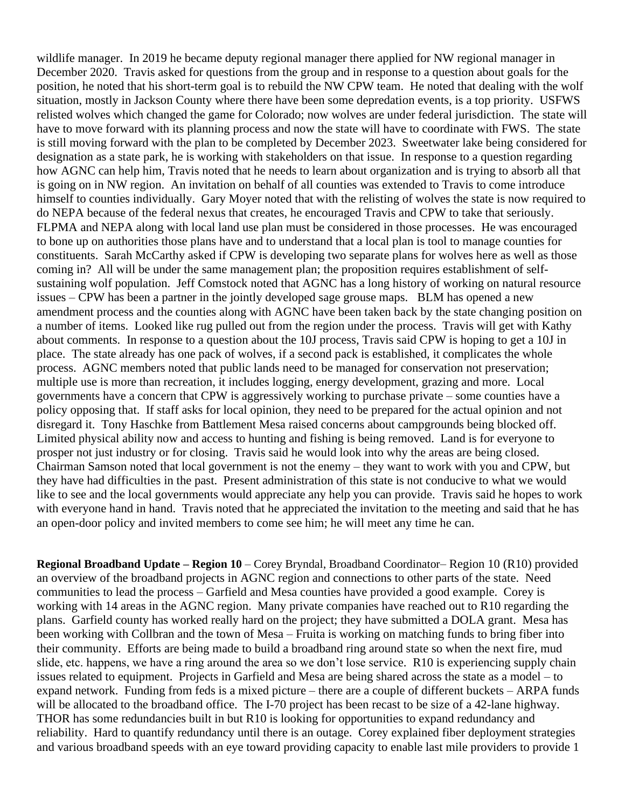wildlife manager. In 2019 he became deputy regional manager there applied for NW regional manager in December 2020. Travis asked for questions from the group and in response to a question about goals for the position, he noted that his short-term goal is to rebuild the NW CPW team. He noted that dealing with the wolf situation, mostly in Jackson County where there have been some depredation events, is a top priority. USFWS relisted wolves which changed the game for Colorado; now wolves are under federal jurisdiction. The state will have to move forward with its planning process and now the state will have to coordinate with FWS. The state is still moving forward with the plan to be completed by December 2023. Sweetwater lake being considered for designation as a state park, he is working with stakeholders on that issue. In response to a question regarding how AGNC can help him, Travis noted that he needs to learn about organization and is trying to absorb all that is going on in NW region. An invitation on behalf of all counties was extended to Travis to come introduce himself to counties individually. Gary Moyer noted that with the relisting of wolves the state is now required to do NEPA because of the federal nexus that creates, he encouraged Travis and CPW to take that seriously. FLPMA and NEPA along with local land use plan must be considered in those processes. He was encouraged to bone up on authorities those plans have and to understand that a local plan is tool to manage counties for constituents. Sarah McCarthy asked if CPW is developing two separate plans for wolves here as well as those coming in? All will be under the same management plan; the proposition requires establishment of selfsustaining wolf population. Jeff Comstock noted that AGNC has a long history of working on natural resource issues – CPW has been a partner in the jointly developed sage grouse maps. BLM has opened a new amendment process and the counties along with AGNC have been taken back by the state changing position on a number of items. Looked like rug pulled out from the region under the process. Travis will get with Kathy about comments. In response to a question about the 10J process, Travis said CPW is hoping to get a 10J in place. The state already has one pack of wolves, if a second pack is established, it complicates the whole process. AGNC members noted that public lands need to be managed for conservation not preservation; multiple use is more than recreation, it includes logging, energy development, grazing and more. Local governments have a concern that CPW is aggressively working to purchase private – some counties have a policy opposing that. If staff asks for local opinion, they need to be prepared for the actual opinion and not disregard it. Tony Haschke from Battlement Mesa raised concerns about campgrounds being blocked off. Limited physical ability now and access to hunting and fishing is being removed. Land is for everyone to prosper not just industry or for closing. Travis said he would look into why the areas are being closed. Chairman Samson noted that local government is not the enemy – they want to work with you and CPW, but they have had difficulties in the past. Present administration of this state is not conducive to what we would like to see and the local governments would appreciate any help you can provide. Travis said he hopes to work with everyone hand in hand. Travis noted that he appreciated the invitation to the meeting and said that he has an open-door policy and invited members to come see him; he will meet any time he can.

**Regional Broadband Update – Region 10** – Corey Bryndal, Broadband Coordinator– Region 10 (R10) provided an overview of the broadband projects in AGNC region and connections to other parts of the state. Need communities to lead the process – Garfield and Mesa counties have provided a good example. Corey is working with 14 areas in the AGNC region. Many private companies have reached out to R10 regarding the plans. Garfield county has worked really hard on the project; they have submitted a DOLA grant. Mesa has been working with Collbran and the town of Mesa – Fruita is working on matching funds to bring fiber into their community. Efforts are being made to build a broadband ring around state so when the next fire, mud slide, etc. happens, we have a ring around the area so we don't lose service. R10 is experiencing supply chain issues related to equipment. Projects in Garfield and Mesa are being shared across the state as a model – to expand network. Funding from feds is a mixed picture – there are a couple of different buckets – ARPA funds will be allocated to the broadband office. The I-70 project has been recast to be size of a 42-lane highway. THOR has some redundancies built in but R10 is looking for opportunities to expand redundancy and reliability. Hard to quantify redundancy until there is an outage. Corey explained fiber deployment strategies and various broadband speeds with an eye toward providing capacity to enable last mile providers to provide 1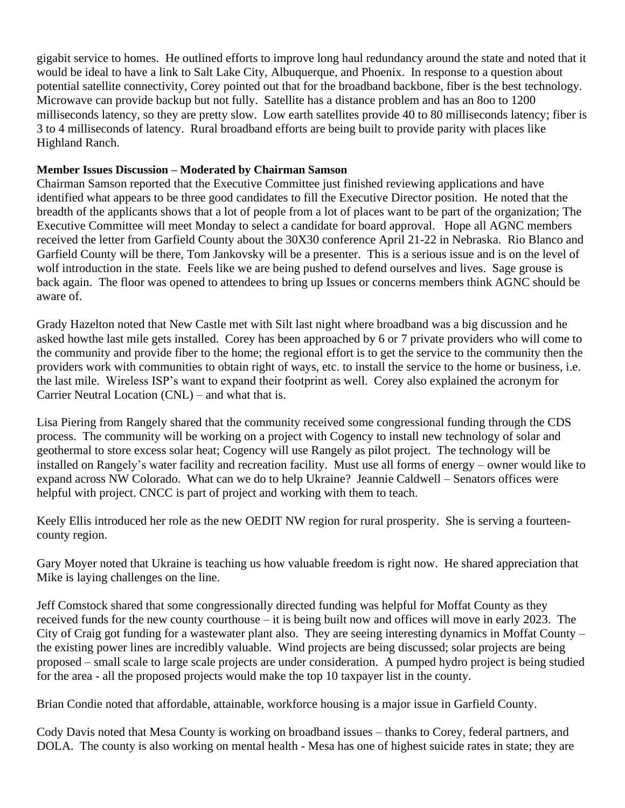gigabit service to homes. He outlined efforts to improve long haul redundancy around the state and noted that it would be ideal to have a link to Salt Lake City, Albuquerque, and Phoenix. In response to a question about potential satellite connectivity, Corey pointed out that for the broadband backbone, fiber is the best technology. Microwave can provide backup but not fully. Satellite has a distance problem and has an 8oo to 1200 milliseconds latency, so they are pretty slow. Low earth satellites provide 40 to 80 milliseconds latency; fiber is 3 to 4 milliseconds of latency. Rural broadband efforts are being built to provide parity with places like Highland Ranch.

## **Member Issues Discussion – Moderated by Chairman Samson**

Chairman Samson reported that the Executive Committee just finished reviewing applications and have identified what appears to be three good candidates to fill the Executive Director position. He noted that the breadth of the applicants shows that a lot of people from a lot of places want to be part of the organization; The Executive Committee will meet Monday to select a candidate for board approval. Hope all AGNC members received the letter from Garfield County about the 30X30 conference April 21-22 in Nebraska. Rio Blanco and Garfield County will be there, Tom Jankovsky will be a presenter. This is a serious issue and is on the level of wolf introduction in the state. Feels like we are being pushed to defend ourselves and lives. Sage grouse is back again. The floor was opened to attendees to bring up Issues or concerns members think AGNC should be aware of.

Grady Hazelton noted that New Castle met with Silt last night where broadband was a big discussion and he asked howthe last mile gets installed. Corey has been approached by 6 or 7 private providers who will come to the community and provide fiber to the home; the regional effort is to get the service to the community then the providers work with communities to obtain right of ways, etc. to install the service to the home or business, i.e. the last mile. Wireless ISP's want to expand their footprint as well. Corey also explained the acronym for Carrier Neutral Location (CNL) – and what that is.

Lisa Piering from Rangely shared that the community received some congressional funding through the CDS process. The community will be working on a project with Cogency to install new technology of solar and geothermal to store excess solar heat; Cogency will use Rangely as pilot project. The technology will be installed on Rangely's water facility and recreation facility. Must use all forms of energy – owner would like to expand across NW Colorado. What can we do to help Ukraine? Jeannie Caldwell – Senators offices were helpful with project. CNCC is part of project and working with them to teach.

Keely Ellis introduced her role as the new OEDIT NW region for rural prosperity. She is serving a fourteencounty region.

Gary Moyer noted that Ukraine is teaching us how valuable freedom is right now. He shared appreciation that Mike is laying challenges on the line.

Jeff Comstock shared that some congressionally directed funding was helpful for Moffat County as they received funds for the new county courthouse – it is being built now and offices will move in early 2023. The City of Craig got funding for a wastewater plant also. They are seeing interesting dynamics in Moffat County – the existing power lines are incredibly valuable. Wind projects are being discussed; solar projects are being proposed – small scale to large scale projects are under consideration. A pumped hydro project is being studied for the area - all the proposed projects would make the top 10 taxpayer list in the county.

Brian Condie noted that affordable, attainable, workforce housing is a major issue in Garfield County.

Cody Davis noted that Mesa County is working on broadband issues – thanks to Corey, federal partners, and DOLA. The county is also working on mental health - Mesa has one of highest suicide rates in state; they are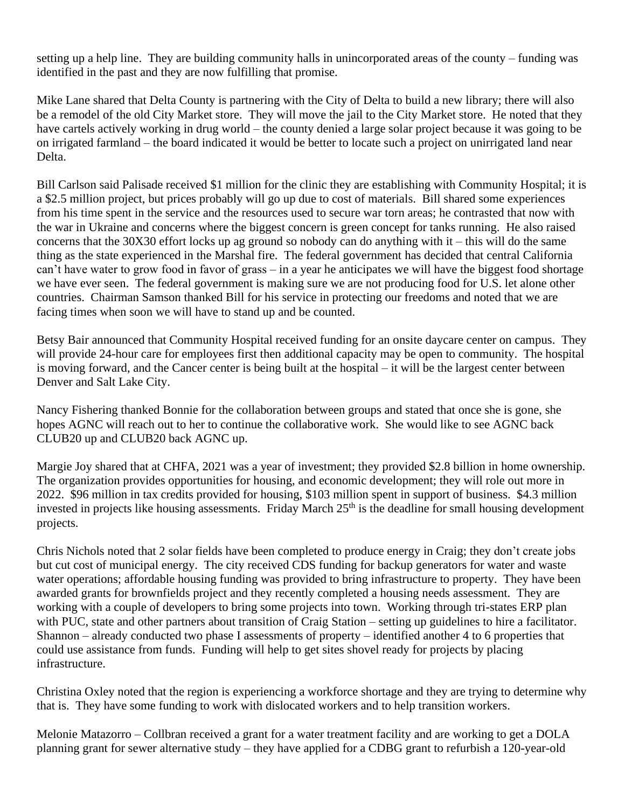setting up a help line. They are building community halls in unincorporated areas of the county – funding was identified in the past and they are now fulfilling that promise.

Mike Lane shared that Delta County is partnering with the City of Delta to build a new library; there will also be a remodel of the old City Market store. They will move the jail to the City Market store. He noted that they have cartels actively working in drug world – the county denied a large solar project because it was going to be on irrigated farmland – the board indicated it would be better to locate such a project on unirrigated land near Delta.

Bill Carlson said Palisade received \$1 million for the clinic they are establishing with Community Hospital; it is a \$2.5 million project, but prices probably will go up due to cost of materials. Bill shared some experiences from his time spent in the service and the resources used to secure war torn areas; he contrasted that now with the war in Ukraine and concerns where the biggest concern is green concept for tanks running. He also raised concerns that the 30X30 effort locks up ag ground so nobody can do anything with it – this will do the same thing as the state experienced in the Marshal fire. The federal government has decided that central California can't have water to grow food in favor of grass – in a year he anticipates we will have the biggest food shortage we have ever seen. The federal government is making sure we are not producing food for U.S. let alone other countries. Chairman Samson thanked Bill for his service in protecting our freedoms and noted that we are facing times when soon we will have to stand up and be counted.

Betsy Bair announced that Community Hospital received funding for an onsite daycare center on campus. They will provide 24-hour care for employees first then additional capacity may be open to community. The hospital is moving forward, and the Cancer center is being built at the hospital – it will be the largest center between Denver and Salt Lake City.

Nancy Fishering thanked Bonnie for the collaboration between groups and stated that once she is gone, she hopes AGNC will reach out to her to continue the collaborative work. She would like to see AGNC back CLUB20 up and CLUB20 back AGNC up.

Margie Joy shared that at CHFA, 2021 was a year of investment; they provided \$2.8 billion in home ownership. The organization provides opportunities for housing, and economic development; they will role out more in 2022. \$96 million in tax credits provided for housing, \$103 million spent in support of business. \$4.3 million invested in projects like housing assessments. Friday March 25<sup>th</sup> is the deadline for small housing development projects.

Chris Nichols noted that 2 solar fields have been completed to produce energy in Craig; they don't create jobs but cut cost of municipal energy. The city received CDS funding for backup generators for water and waste water operations; affordable housing funding was provided to bring infrastructure to property. They have been awarded grants for brownfields project and they recently completed a housing needs assessment. They are working with a couple of developers to bring some projects into town. Working through tri-states ERP plan with PUC, state and other partners about transition of Craig Station – setting up guidelines to hire a facilitator. Shannon – already conducted two phase I assessments of property – identified another 4 to 6 properties that could use assistance from funds. Funding will help to get sites shovel ready for projects by placing infrastructure.

Christina Oxley noted that the region is experiencing a workforce shortage and they are trying to determine why that is. They have some funding to work with dislocated workers and to help transition workers.

Melonie Matazorro – Collbran received a grant for a water treatment facility and are working to get a DOLA planning grant for sewer alternative study – they have applied for a CDBG grant to refurbish a 120-year-old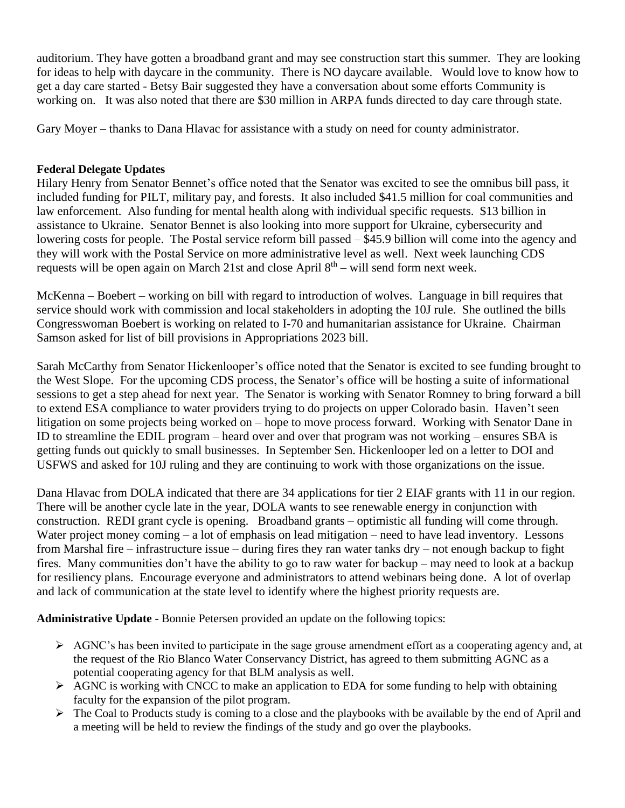auditorium. They have gotten a broadband grant and may see construction start this summer. They are looking for ideas to help with daycare in the community. There is NO daycare available. Would love to know how to get a day care started - Betsy Bair suggested they have a conversation about some efforts Community is working on. It was also noted that there are \$30 million in ARPA funds directed to day care through state.

Gary Moyer – thanks to Dana Hlavac for assistance with a study on need for county administrator.

# **Federal Delegate Updates**

Hilary Henry from Senator Bennet's office noted that the Senator was excited to see the omnibus bill pass, it included funding for PILT, military pay, and forests. It also included \$41.5 million for coal communities and law enforcement. Also funding for mental health along with individual specific requests. \$13 billion in assistance to Ukraine. Senator Bennet is also looking into more support for Ukraine, cybersecurity and lowering costs for people. The Postal service reform bill passed – \$45.9 billion will come into the agency and they will work with the Postal Service on more administrative level as well. Next week launching CDS requests will be open again on March 21st and close April  $8<sup>th</sup>$  – will send form next week.

McKenna – Boebert – working on bill with regard to introduction of wolves. Language in bill requires that service should work with commission and local stakeholders in adopting the 10J rule. She outlined the bills Congresswoman Boebert is working on related to I-70 and humanitarian assistance for Ukraine. Chairman Samson asked for list of bill provisions in Appropriations 2023 bill.

Sarah McCarthy from Senator Hickenlooper's office noted that the Senator is excited to see funding brought to the West Slope. For the upcoming CDS process, the Senator's office will be hosting a suite of informational sessions to get a step ahead for next year. The Senator is working with Senator Romney to bring forward a bill to extend ESA compliance to water providers trying to do projects on upper Colorado basin. Haven't seen litigation on some projects being worked on – hope to move process forward. Working with Senator Dane in ID to streamline the EDIL program – heard over and over that program was not working – ensures SBA is getting funds out quickly to small businesses. In September Sen. Hickenlooper led on a letter to DOI and USFWS and asked for 10J ruling and they are continuing to work with those organizations on the issue.

Dana Hlavac from DOLA indicated that there are 34 applications for tier 2 EIAF grants with 11 in our region. There will be another cycle late in the year, DOLA wants to see renewable energy in conjunction with construction. REDI grant cycle is opening. Broadband grants – optimistic all funding will come through. Water project money coming – a lot of emphasis on lead mitigation – need to have lead inventory. Lessons from Marshal fire – infrastructure issue – during fires they ran water tanks dry – not enough backup to fight fires. Many communities don't have the ability to go to raw water for backup – may need to look at a backup for resiliency plans. Encourage everyone and administrators to attend webinars being done. A lot of overlap and lack of communication at the state level to identify where the highest priority requests are.

**Administrative Update -** Bonnie Petersen provided an update on the following topics:

- ➢ AGNC's has been invited to participate in the sage grouse amendment effort as a cooperating agency and, at the request of the Rio Blanco Water Conservancy District, has agreed to them submitting AGNC as a potential cooperating agency for that BLM analysis as well.
- $\triangleright$  AGNC is working with CNCC to make an application to EDA for some funding to help with obtaining faculty for the expansion of the pilot program.
- ➢ The Coal to Products study is coming to a close and the playbooks with be available by the end of April and a meeting will be held to review the findings of the study and go over the playbooks.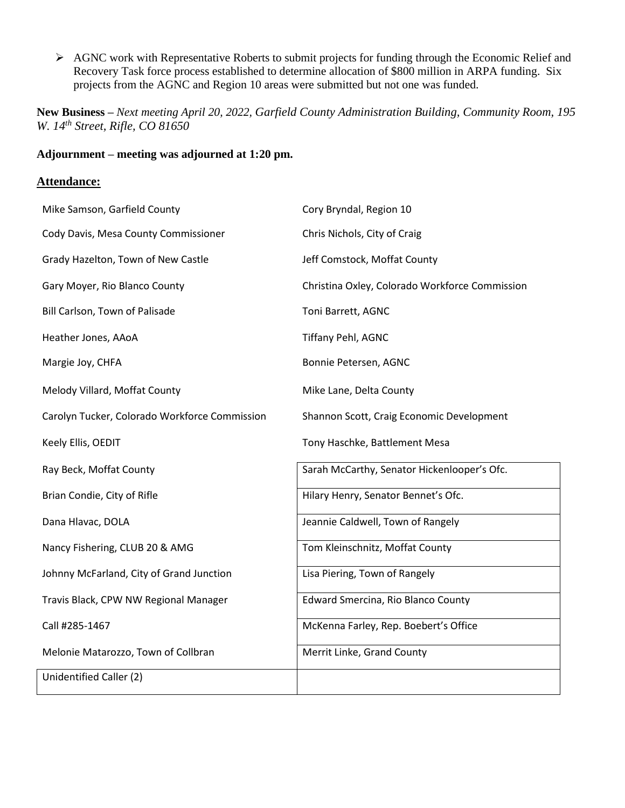➢ AGNC work with Representative Roberts to submit projects for funding through the Economic Relief and Recovery Task force process established to determine allocation of \$800 million in ARPA funding. Six projects from the AGNC and Region 10 areas were submitted but not one was funded.

**New Business –** *Next meeting April 20, 2022, Garfield County Administration Building, Community Room, 195 W. 14th Street, Rifle, CO 81650*

# **Adjournment – meeting was adjourned at 1:20 pm.**

### **Attendance:**

| Mike Samson, Garfield County                  | Cory Bryndal, Region 10                        |
|-----------------------------------------------|------------------------------------------------|
| Cody Davis, Mesa County Commissioner          | Chris Nichols, City of Craig                   |
| Grady Hazelton, Town of New Castle            | Jeff Comstock, Moffat County                   |
| Gary Moyer, Rio Blanco County                 | Christina Oxley, Colorado Workforce Commission |
| Bill Carlson, Town of Palisade                | Toni Barrett, AGNC                             |
| Heather Jones, AAoA                           | Tiffany Pehl, AGNC                             |
| Margie Joy, CHFA                              | Bonnie Petersen, AGNC                          |
| Melody Villard, Moffat County                 | Mike Lane, Delta County                        |
| Carolyn Tucker, Colorado Workforce Commission | Shannon Scott, Craig Economic Development      |
| Keely Ellis, OEDIT                            | Tony Haschke, Battlement Mesa                  |
| Ray Beck, Moffat County                       | Sarah McCarthy, Senator Hickenlooper's Ofc.    |
| Brian Condie, City of Rifle                   | Hilary Henry, Senator Bennet's Ofc.            |
| Dana Hlavac, DOLA                             | Jeannie Caldwell, Town of Rangely              |
| Nancy Fishering, CLUB 20 & AMG                | Tom Kleinschnitz, Moffat County                |
| Johnny McFarland, City of Grand Junction      | Lisa Piering, Town of Rangely                  |
| Travis Black, CPW NW Regional Manager         | <b>Edward Smercina, Rio Blanco County</b>      |
| Call #285-1467                                | McKenna Farley, Rep. Boebert's Office          |
| Melonie Matarozzo, Town of Collbran           | Merrit Linke, Grand County                     |
| Unidentified Caller (2)                       |                                                |